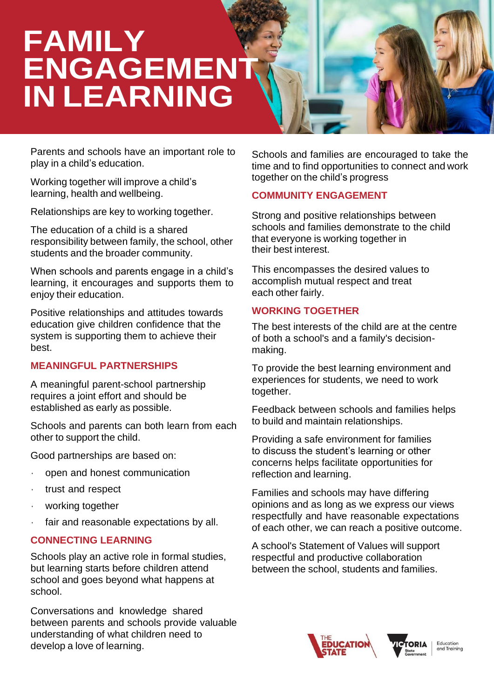# **FAMILY ENGAGEMEN IN LEARNING**

Parents and schools have an important role to play in a child's education.

Working together will improve a child's learning, health and wellbeing.

Relationships are key to working together.

The education of a child is a shared responsibility between family, the school, other students and the broader community.

When schools and parents engage in a child's learning, it encourages and supports them to enjoy their education.

Positive relationships and attitudes towards education give children confidence that the system is supporting them to achieve their best.

### **MEANINGFUL PARTNERSHIPS**

A meaningful parent-school partnership requires a joint effort and should be established as early as possible.

Schools and parents can both learn from each other to support the child.

Good partnerships are based on:

- open and honest communication
- trust and respect
- working together
- fair and reasonable expectations by all.

# **CONNECTING LEARNING**

Schools play an active role in formal studies, but learning starts before children attend school and goes beyond what happens at school.

develop a love of learning. The same series of the series of the series of the series of the series of the series of the series of the series of the series of the series of the series of the series of the series of the ser Conversations and knowledge shared between parents and schools provide valuable understanding of what children need to

Schools and families are encouraged to take the time and to find opportunities to connect and work together on the child's progress

# **COMMUNITY ENGAGEMENT**

Strong and positive relationships between schools and families demonstrate to the child that everyone is working together in their best interest.

This encompasses the desired values to accomplish mutual respect and treat each other fairly.

## **WORKING TOGETHER**

The best interests of the child are at the centre of both a school's and a family's decisionmaking.

To provide the best learning environment and experiences for students, we need to work together.

Feedback between schools and families helps to build and maintain relationships.

Providing a safe environment for families to discuss the student's learning or other concerns helps facilitate opportunities for reflection and learning.

Families and schools may have differing opinions and as long as we express our views respectfully and have reasonable expectations of each other, we can reach a positive outcome.

A school's Statement of Values will support respectful and productive collaboration between the school, students and families.





Education